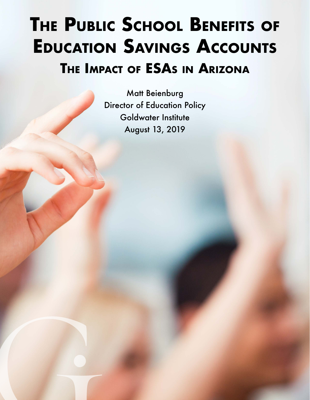# **The Public School Benefits of Education Savings Accounts The Impact of ESAs in Arizona**

Matt Beienburg Director of Education Policy Goldwater Institute August 13, 2019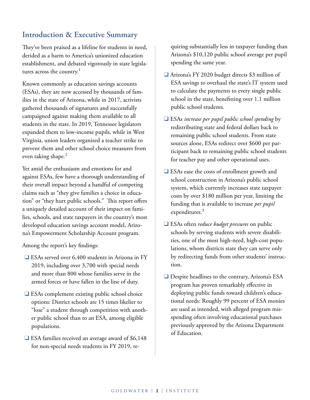### **Introduction & Executive Summary**

They've been praised as a lifeline for students in need, derided as a harm to America's unionized education establishment, and debated vigorously in state legislatures across the country.<sup>1</sup>

Known commonly as education savings accounts (ESAs), they are now accessed by thousands of families in the state of Arizona, while in 2017, activists gathered thousands of signatures and successfully campaigned against making them available to all students in the state. In 2019, Tennessee legislators expanded them to low-income pupils, while in West Virginia, union leaders organized a teacher strike to prevent them and other school choice measures from even taking shape.<sup>2</sup>

Yet amid the enthusiasm and emotions for and against ESAs, few have a thorough understanding of their overall impact beyond a handful of competing claims such as "they give families a choice in education" or "they hurt public schools." This report offers a uniquely detailed account of their impact on families, schools, and state taxpayers in the country's most developed education savings account model, Arizona's Empowerment Scholarship Account program.

Among the report's key findings:

- $\Box$  ESAs served over 6,400 students in Arizona in FY 2019, including over 3,700 with special needs and more than 800 whose families serve in the armed forces or have fallen in the line of duty.
- $\Box$  ESAs complement existing public school choice options: District schools are 15 times likelier to "lose" a student through competition with another public school than to an ESA, among eligible populations.
- $\Box$  ESA families received an average award of \$6,148 for non-special needs students in FY 2019, re-

quiring substantially less in taxpayer funding than Arizona's \$10,120 public school average per pupil spending the same year.

- Arizona's FY 2020 budget directs \$3 million of ESA savings to overhaul the state's IT system used to calculate the payments to every single public school in the state, benefitting over 1.1 million public school students.
- □ ESAs *increase per pupil public school spending* by redistributing state and federal dollars back to remaining public school students. From state sources alone, ESAs redirect over \$600 per participant back to remaining public school students for teacher pay and other operational uses.
- $\Box$  ESAs ease the costs of enrollment growth and school construction in Arizona's public school system, which currently increases state taxpayer costs by over \$180 million per year, limiting the funding that is available to increase *per pupil* expenditures.<sup>3</sup>
- **□ ESAs often** *reduce budget pressures* on public schools by serving students with severe disabilities, one of the most high-need, high-cost populations, whom districts state they can serve only by redirecting funds from other students' instruction.
- $\Box$  Despite headlines to the contrary, Arizona's ESA program has proven remarkably effective in deploying public funds toward children's educational needs: Roughly 99 percent of ESA monies are used as intended, with alleged program misspending often involving educational purchases previously approved by the Arizona Department of Education.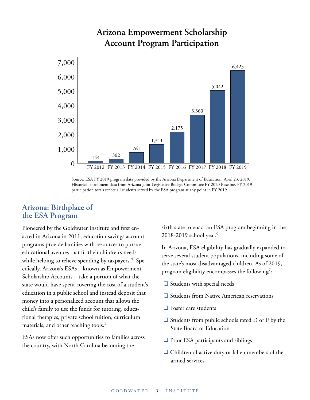

## **Arizona Empowerment Scholarship Account Program Participation**

### **Arizona: Birthplace of the ESA Program**

Pioneered by the Goldwater Institute and first enacted in Arizona in 2011, education savings account programs provide families with resources to pursue educational avenues that fit their children's needs while helping to relieve spending by taxpayers. $\rm ^4$  Specifically, Arizona's ESAs—known as Empowerment Scholarship Accounts—take a portion of what the state would have spent covering the cost of a student's education in a public school and instead deposit that money into a personalized account that allows the child's family to use the funds for tutoring, educational therapies, private school tuition, curriculum materials, and other teaching tools.<sup>5</sup>

ESAs now offer such opportunities to families across the country, with North Carolina becoming the

sixth state to enact an ESA program beginning in the 2018-2019 school year.<sup>6</sup>

In Arizona, ESA eligibility has gradually expanded to serve several student populations, including some of the state's most disadvantaged children. As of 2019, program eligibility encompasses the following $\vec{ }$  :

- $\Box$  Students with special needs
- $\Box$  Students from Native American reservations
- $\Box$  Foster care students
- $\Box$  Students from public schools rated D or F by the State Board of Education
- $\Box$  Prior ESA participants and siblings
- $\Box$  Children of active duty or fallen members of the armed services

Source: ESA FY 2019 program data provided by the Arizona Department of Education, April 23, 2019. Historical enrollment data from Arizona Joint Legislative Budget Committee FY 2020 Baseline. FY 2019 participation totals reflect all students served by the ESA program at any point in FY 2019.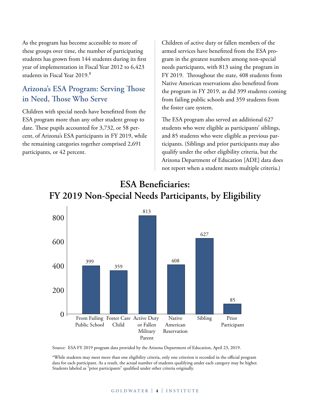As the program has become accessible to more of these groups over time, the number of participating students has grown from 144 students during its first year of implementation in Fiscal Year 2012 to 6,423 students in Fiscal Year 2019.<sup>8</sup>

## **Arizona's ESA Program: Serving Those in Need, Those Who Serve**

Children with special needs have benefitted from the ESA program more than any other student group to date. These pupils accounted for 3,732, or 58 percent, of Arizona's ESA participants in FY 2019, while the remaining categories together comprised 2,691 participants, or 42 percent.

Children of active duty or fallen members of the armed services have benefitted from the ESA program in the greatest numbers among non-special needs participants, with 813 using the program in FY 2019. Throughout the state, 408 students from Native American reservations also benefitted from the program in FY 2019, as did 399 students coming from failing public schools and 359 students from the foster care system.

The ESA program also served an additional 627 students who were eligible as participants' siblings, and 85 students who were eligible as previous participants. (Siblings and prior participants may also qualify under the other eligibility criteria, but the Arizona Department of Education [ADE] data does not report when a student meets multiple criteria.)



## **ESA Beneficiaries: FY 2019 Non-Special Needs Participants, by Eligibility**

Source: ESA FY 2019 program data provided by the Arizona Department of Education, April 23, 2019.

\*While students may meet more than one eligibility criteria, only one criterion is recorded in the official program data for each participant. As a result, the actual number of students qualifying under each category may be higher. Students labeled as "prior participants" qualified under other criteria originally.

#### G O L DWAT E R | **4** | INSTITUTE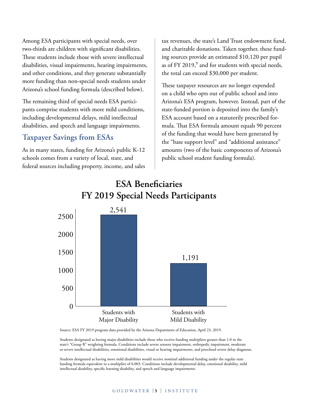Among ESA participants with special needs, over two-thirds are children with significant disabilities. These students include those with severe intellectual disabilities, visual impairments, hearing impairments, and other conditions, and they generate substantially more funding than non-special needs students under Arizona's school funding formula (described below).

The remaining third of special needs ESA participants comprise students with more mild conditions, including developmental delays, mild intellectual disabilities, and speech and language impairments.

### **Taxpayer Savings from ESAs**

As in many states, funding for Arizona's public K-12 schools comes from a variety of local, state, and federal sources including property, income, and sales tax revenues, the state's Land Trust endowment fund, and charitable donations. Taken together, these funding sources provide an estimated \$10,120 per pupil as of FY 2019, $^9$  and for students with special needs, the total can exceed \$30,000 per student.

These taxpayer resources are no longer expended on a child who opts out of public school and into Arizona's ESA program, however. Instead, part of the state-funded portion is deposited into the family's ESA account based on a statutorily prescribed formula. That ESA formula amount equals 90 percent of the funding that would have been generated by the "base support level" and "additional assistance" amounts (two of the basic components of Arizona's public school student funding formula).

## **ESA Beneficiaries FY 2019 Special Needs Participants**



Source: ESA FY 2019 program data provided by the Arizona Department of Education, April 23, 2019.

Students designated as having major disabilities include those who receive funding multipliers greater than 1.0 in the state's "Group B" weighting formula. Conditions include severe sensory impairment, orthopedic impairment, moderate or severe intellectual disabilities, emotional disabilities, visual or hearing impairments, and preschool severe delay diagnoses.

Students designated as having more mild disabilities would receive nominal additional funding under the regular state funding formula equivalent to a multiplier of 0.003. Conditions include developmental delay, emotional disability, mild intellectual disability, specific learning disability, and speech and language impairments.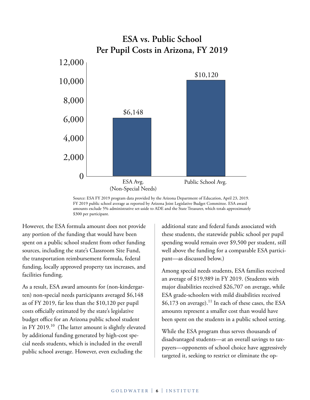

Source: ESA FY 2019 program data provided by the Arizona Department of Education, April 23, 2019. FY 2019 public school average as reported by Arizona Joint Legislative Budget Committee. ESA award amounts exclude 5% administrative set-aside to ADE and the State Treasurer, which totals approximately \$300 per participant.

However, the ESA formula amount does not provide any portion of the funding that would have been spent on a public school student from other funding sources, including the state's Classroom Site Fund, the transportation reimbursement formula, federal funding, locally approved property tax increases, and facilities funding.

As a result, ESA award amounts for (non-kindergarten) non-special needs participants averaged \$6,148 as of FY 2019, far less than the \$10,120 per pupil costs officially estimated by the state's legislative budget office for an Arizona public school student in FY 2019.<sup>10</sup> (The latter amount is slightly elevated by additional funding generated by high-cost special needs students, which is included in the overall public school average. However, even excluding the

additional state and federal funds associated with these students, the statewide public school per pupil spending would remain over \$9,500 per student, still well above the funding for a comparable ESA participant—as discussed below.)

Among special needs students, ESA families received an average of \$19,989 in FY 2019. (Students with major disabilities received \$26,707 on average, while ESA grade-schoolers with mild disabilities received  $$6,173$  on average).<sup>11</sup> In each of these cases, the ESA amounts represent a smaller cost than would have been spent on the students in a public school setting.

While the ESA program thus serves thousands of disadvantaged students—at an overall savings to taxpayers—opponents of school choice have aggressively targeted it, seeking to restrict or eliminate the op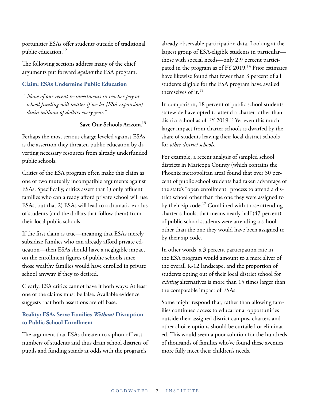portunities ESAs offer students outside of traditional public education.<sup>12</sup>

The following sections address many of the chief arguments put forward *against* the ESA program.

#### **Claim: ESAs Undermine Public Education**

"*None of our recent re-investments in teacher pay or school funding will matter if we let [ESA expansion] drain millions of dollars every year.*"

**— Save Our Schools Arizona13**

Perhaps the most serious charge leveled against ESAs is the assertion they threaten public education by diverting necessary resources from already underfunded public schools.

Critics of the ESA program often make this claim as one of two mutually incompatible arguments against ESAs. Specifically, critics assert that 1) only affluent families who can already afford private school will use ESAs, but that 2) ESAs will lead to a dramatic exodus of students (and the dollars that follow them) from their local public schools.

If the first claim is true—meaning that ESAs merely subsidize families who can already afford private education—then ESAs should have a negligible impact on the enrollment figures of public schools since those wealthy families would have enrolled in private school anyway if they so desired.

Clearly, ESA critics cannot have it both ways: At least one of the claims must be false. Available evidence suggests that both assertions are off base.

#### **Reality: ESAs Serve Families** *Without* **Disruption to Public School Enrollmen**t

The argument that ESAs threaten to siphon off vast numbers of students and thus drain school districts of pupils and funding stands at odds with the program's

already observable participation data. Looking at the largest group of ESA-eligible students in particular those with special needs—only 2.9 percent participated in the program as of FY 2019.<sup>14</sup> Prior estimates have likewise found that fewer than 3 percent of all students eligible for the ESA program have availed themselves of it.15

In comparison, 18 percent of public school students statewide have opted to attend a charter rather than district school as of FY 2019.16 Yet even this much larger impact from charter schools is dwarfed by the share of students leaving their local district schools for *other district schools*.

For example, a recent analysis of sampled school districts in Maricopa County (which contains the Phoenix metropolitan area) found that over 30 percent of public school students had taken advantage of the state's "open enrollment" process to attend a district school other than the one they were assigned to by their zip code.<sup>17</sup> Combined with those attending charter schools, that means nearly half (47 percent) of public school students were attending a school other than the one they would have been assigned to by their zip code.

In other words, a 3 percent participation rate in the ESA program would amount to a mere sliver of the overall K-12 landscape, and the proportion of students opting out of their local district school for *existing* alternatives is more than 15 times larger than the comparable impact of ESAs.

Some might respond that, rather than allowing families continued access to educational opportunities outside their assigned district campus, charters and other choice options should be curtailed or eliminated. This would seem a poor solution for the hundreds of thousands of families who've found these avenues more fully meet their children's needs.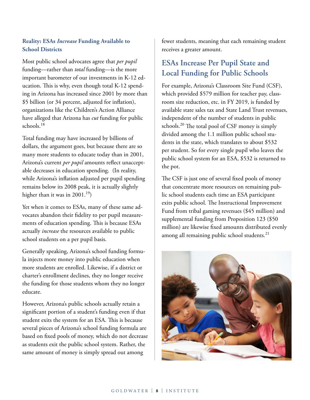#### **Reality: ESAs** *Increase* **Funding Available to School Districts**

Most public school advocates agree that *per pupil* funding—rather than *total* funding—is the more important barometer of our investments in K-12 education. This is why, even though total K-12 spending in Arizona has increased since 2001 by more than \$5 billion (or 34 percent, adjusted for inflation), organizations like the Children's Action Alliance have alleged that Arizona has *cut* funding for public schools.18

Total funding may have increased by billions of dollars, the argument goes, but because there are so many more students to educate today than in 2001, Arizona's current *per pupil* amounts reflect unacceptable decreases in education spending. (In reality, while Arizona's inflation adjusted per pupil spending remains below its 2008 peak, it is actually slightly higher than it was in  $2001.^{19}$ )

Yet when it comes to ESAs, many of these same advocates abandon their fidelity to per pupil measurements of education spending. This is because ESAs actually *increase* the resources available to public school students on a per pupil basis.

Generally speaking, Arizona's school funding formula injects more money into public education when more students are enrolled. Likewise, if a district or charter's enrollment declines, they no longer receive the funding for those students whom they no longer educate.

However, Arizona's public schools actually retain a significant portion of a student's funding even if that student exits the system for an ESA. This is because several pieces of Arizona's school funding formula are based on fixed pools of money, which do not decrease as students exit the public school system. Rather, the same amount of money is simply spread out among

fewer students, meaning that each remaining student receives a greater amount.

## **ESAs Increase Per Pupil State and Local Funding for Public Schools**

For example, Arizona's Classroom Site Fund (CSF), which provided \$579 million for teacher pay, classroom size reduction, etc. in FY 2019, is funded by available state sales tax and State Land Trust revenues, independent of the number of students in public schools.<sup>20</sup> The total pool of CSF money is simply divided among the 1.1 million public school students in the state, which translates to about \$532 per student. So for every single pupil who leaves the public school system for an ESA, \$532 is returned to the pot.

The CSF is just one of several fixed pools of money that concentrate more resources on remaining public school students each time an ESA participant exits public school. The Instructional Improvement Fund from tribal gaming revenues (\$45 million) and supplemental funding from Proposition 123 (\$50 million) are likewise fixed amounts distributed evenly among all remaining public school students. $^{21}$ 

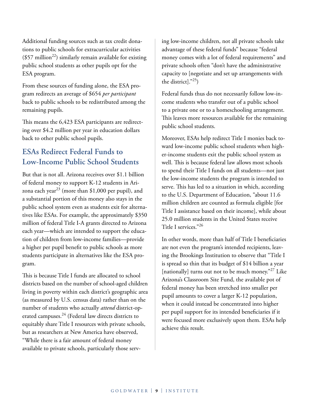Additional funding sources such as tax credit donations to public schools for extracurricular activities  $(\$57$  million<sup>22</sup>) similarly remain available for existing public school students as other pupils opt for the ESA program.

From these sources of funding alone, the ESA program redirects an average of \$654 *per participant*  back to public schools to be redistributed among the remaining pupils.

This means the 6,423 ESA participants are redirecting over \$4.2 million per year in education dollars back to other public school pupils.

## **ESAs Redirect Federal Funds to Low-Income Public School Students**

But that is not all. Arizona receives over \$1.1 billion of federal money to support K-12 students in Arizona each year<sup>23</sup> (more than \$1,000 per pupil), and a substantial portion of this money also stays in the public school system even as students exit for alternatives like ESAs. For example, the approximately \$350 million of federal Title I-A grants directed to Arizona each year—which are intended to support the education of children from low-income families—provide a higher per pupil benefit to public schools as more students participate in alternatives like the ESA program.

This is because Title I funds are allocated to school districts based on the number of school-aged children living in poverty within each district's geographic area (as measured by U.S. census data) rather than on the number of students who actually *attend* district-operated campuses.<sup>24</sup> (Federal law directs districts to equitably share Title I resources with private schools, but as researchers at New America have observed, "While there is a fair amount of federal money available to private schools, particularly those serv-

ing low-income children, not all private schools take advantage of these federal funds" because "federal money comes with a lot of federal requirements" and private schools often "don't have the administrative capacity to [negotiate and set up arrangements with the district]."25)

Federal funds thus do not necessarily follow low-income students who transfer out of a public school to a private one or to a homeschooling arrangement. This leaves more resources available for the remaining public school students.

Moreover, ESAs help redirect Title I monies back toward low-income public school students when higher-income students exit the public school system as well. This is because federal law allows most schools to spend their Title I funds on all students—not just the low-income students the program is intended to serve. This has led to a situation in which, according to the U.S. Department of Education, "about 11.6 million children are counted as formula eligible [for Title I assistance based on their income], while about 25.0 million students in the United States receive Title I services."26

In other words, more than half of Title I beneficiaries are not even the program's intended recipients, leaving the Brookings Institution to observe that "Title I is spread so thin that its budget of \$14 billion a year [nationally] turns out not to be much money."<sup>27</sup> Like Arizona's Classroom Site Fund, the available pot of federal money has been stretched into smaller per pupil amounts to cover a larger K-12 population, when it could instead be concentrated into higher per pupil support for its intended beneficiaries if it were focused more exclusively upon them. ESAs help achieve this result.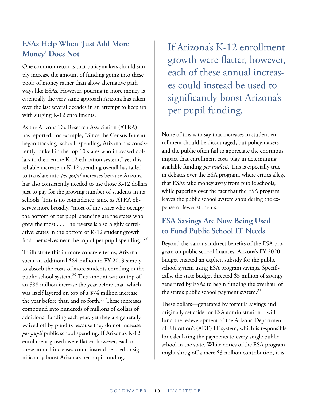## **ESAs Help When 'Just Add More Money' Does Not**

One common retort is that policymakers should simply increase the amount of funding going into these pools of money rather than allow alternative pathways like ESAs. However, pouring in more money is essentially the very same approach Arizona has taken over the last several decades in an attempt to keep up with surging K-12 enrollments.

As the Arizona Tax Research Association (ATRA) has reported, for example, "Since the Census Bureau began tracking [school] spending, Arizona has consistently ranked in the top 10 states who increased dollars to their entire K-12 education system," yet this reliable increase in K-12 spending overall has failed to translate into *per pupil* increases because Arizona has also consistently needed to use those K-12 dollars just to pay for the growing number of students in its schools. This is no coincidence, since as ATRA observes more broadly, "most of the states who occupy the bottom of per pupil spending are the states who grew the most . . . The reverse is also highly correlative: states in the bottom of K-12 student growth find themselves near the top of per pupil spending."<sup>28</sup>

To illustrate this in more concrete terms, Arizona spent an additional \$84 million in FY 2019 simply to absorb the costs of more students enrolling in the public school system.<sup>29</sup> This amount was on top of an \$88 million increase the year before that, which was itself layered on top of a \$74 million increase the year before that, and so forth. $30$  These increases compound into hundreds of millions of dollars of additional funding each year, yet they are generally waived off by pundits because they do not increase *per pupil* public school spending. If Arizona's K-12 enrollment growth were flatter, however, each of these annual increases could instead be used to significantly boost Arizona's per pupil funding.

 If Arizona's K-12 enrollment growth were flatter, however, each of these annual increases could instead be used to significantly boost Arizona's per pupil funding.

None of this is to say that increases in student enrollment should be discouraged, but policymakers and the public often fail to appreciate the enormous impact that enrollment costs play in determining available funding *per student*. This is especially true in debates over the ESA program, where critics allege that ESAs take money away from public schools, while papering over the fact that the ESA program leaves the public school system shouldering the expense of fewer students.

## **ESA Savings Are Now Being Used to Fund Public School IT Needs**

Beyond the various indirect benefits of the ESA program on public school finances, Arizona's FY 2020 budget enacted an explicit subsidy for the public school system using ESA program savings. Specifically, the state budget directed \$3 million of savings generated by ESAs to begin funding the overhaul of the state's public school payment system.<sup>31</sup>

These dollars—generated by formula savings and originally set aside for ESA administration—will fund the redevelopment of the Arizona Department of Education's (ADE) IT system, which is responsible for calculating the payments to every single public school in the state. While critics of the ESA program might shrug off a mere \$3 million contribution, it is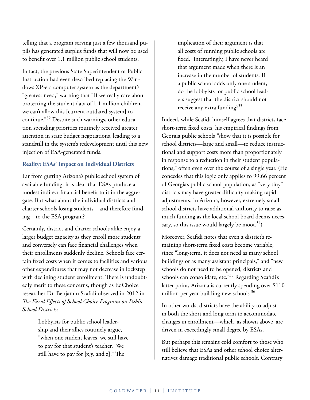telling that a program serving just a few thousand pupils has generated surplus funds that will now be used to benefit over 1.1 million public school students.

In fact, the previous State Superintendent of Public Instruction had even described replacing the Windows XP-era computer system as the department's "greatest need," warning that "If we really care about protecting the student data of 1.1 million children, we can't allow this [current outdated system] to continue."32 Despite such warnings, other education spending priorities routinely received greater attention in state budget negotiations, leading to a standstill in the system's redevelopment until this new injection of ESA-generated funds.

#### **Reality: ESAs' Impact on Individual Districts**

Far from gutting Arizona's public school system of available funding, it is clear that ESAs produce a modest indirect financial benefit to it in the aggregate. But what about the individual districts and charter schools losing students—and therefore funding—to the ESA program?

Certainly, district and charter schools alike enjoy a larger budget capacity as they enroll more students and conversely can face financial challenges when their enrollments suddenly decline. Schools face certain fixed costs when it comes to facilities and various other expenditures that may not decrease in lockstep with declining student enrollment. There is undoubtedly merit to these concerns, though as EdChoice researcher Dr. Benjamin Scafidi observed in 2012 in *The Fiscal Effects of School Choice Programs on Public School Districts*:

> Lobbyists for public school leadership and their allies routinely argue, "when one student leaves, we still have to pay for that student's teacher. We still have to pay for [x,y, and z]." The

implication of their argument is that all costs of running public schools are fixed. Interestingly, I have never heard that argument made when there is an increase in the number of students. If a public school adds only one student, do the lobbyists for public school leaders suggest that the district should not receive any extra funding?<sup>33</sup>

Indeed, while Scafidi himself agrees that districts face short-term fixed costs, his empirical findings from Georgia public schools "show that it is possible for school districts—large and small—to reduce instructional and support costs more than proportionately in response to a reduction in their student populations," often even over the course of a single year. (He concedes that this logic only applies to 99.66 percent of Georgia's public school population, as "very tiny" districts may have greater difficulty making rapid adjustments. In Arizona, however, extremely small school districts have additional authority to raise as much funding as the local school board deems necessary, so this issue would largely be moot.<sup>34</sup>)

Moreover, Scafidi notes that even a district's remaining short-term fixed costs become variable, since "long-term, it does not need as many school buildings or as many assistant principals," and "new schools do not need to be opened, districts and schools can consolidate, etc."35 Regarding Scafidi's latter point, Arizona is currently spending over \$110 million per year building new schools.<sup>36</sup>

In other words, districts have the ability to adjust in both the short and long term to accommodate changes in enrollment—which, as shown above, are driven in exceedingly small degree by ESAs.

But perhaps this remains cold comfort to those who still believe that ESAs and other school choice alternatives damage traditional public schools. Contrary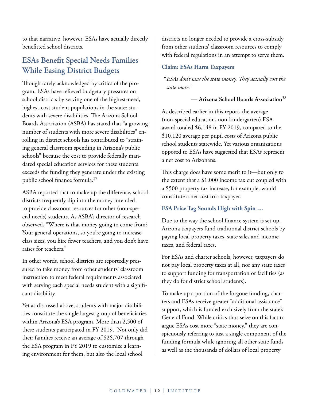to that narrative, however, ESAs have actually directly benefitted school districts.

## **ESAs Benefit Special Needs Families While Easing District Budgets**

Though rarely acknowledged by critics of the program, ESAs have relieved budgetary pressures on school districts by serving one of the highest-need, highest-cost student populations in the state: students with severe disabilities. The Arizona School Boards Association (ASBA) has stated that "a growing number of students with more severe disabilities" enrolling in district schools has contributed to "straining general classroom spending in Arizona's public schools" because the cost to provide federally mandated special education services for these students exceeds the funding they generate under the existing public school finance formula.37

ASBA reported that to make up the difference, school districts frequently dip into the money intended to provide classroom resources for other (non-special needs) students. As ASBA's director of research observed, "Where is that money going to come from? Your general operations, so you're going to increase class sizes, you hire fewer teachers, and you don't have raises for teachers."

In other words, school districts are reportedly pressured to take money from other students' classroom instruction to meet federal requirements associated with serving each special needs student with a significant disability.

Yet as discussed above, students with major disabilities constitute the single largest group of beneficiaries within Arizona's ESA program. More than 2,500 of these students participated in FY 2019. Not only did their families receive an average of \$26,707 through the ESA program in FY 2019 to customize a learning environment for them, but also the local school

districts no longer needed to provide a cross-subsidy from other students' classroom resources to comply with federal regulations in an attempt to serve them.

#### **Claim: ESAs Harm Taxpayers**

"*ESAs don't save the state money. They actually cost the state more.*"

**— Arizona School Boards Association**<sup>38</sup>

As described earlier in this report, the average (non-special education, non-kindergarten) ESA award totaled \$6,148 in FY 2019, compared to the \$10,120 average per pupil costs of Arizona public school students statewide. Yet various organizations opposed to ESAs have suggested that ESAs represent a net cost to Arizonans.

This charge does have some merit to it—but only to the extent that a \$1,000 income tax cut coupled with a \$500 property tax increase, for example, would constitute a net cost to a taxpayer.

#### **ESA Price Tag Sounds High with Spin …**

Due to the way the school finance system is set up, Arizona taxpayers fund traditional district schools by paying local property taxes, state sales and income taxes, and federal taxes.

For ESAs and charter schools, however, taxpayers do not pay local property taxes at all, nor any state taxes to support funding for transportation or facilities (as they do for district school students).

To make up a portion of the forgone funding, charters and ESAs receive greater "additional assistance" support, which is funded exclusively from the state's General Fund. While critics thus seize on this fact to argue ESAs cost more "state money," they are conspicuously referring to just a single component of the funding formula while ignoring all other state funds as well as the thousands of dollars of local property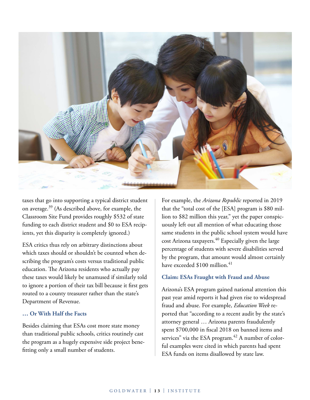

taxes that go into supporting a typical district student on average.39 (As described above, for example, the Classroom Site Fund provides roughly \$532 of state funding to each district student and \$0 to ESA recipients, yet this disparity is completely ignored.)

ESA critics thus rely on arbitrary distinctions about which taxes should or shouldn't be counted when describing the program's costs versus traditional public education. The Arizona residents who actually pay these taxes would likely be unamused if similarly told to ignore a portion of their tax bill because it first gets routed to a county treasurer rather than the state's Department of Revenue.

#### **… Or With Half the Facts**

Besides claiming that ESAs cost more state money than traditional public schools, critics routinely cast the program as a hugely expensive side project benefitting only a small number of students.

For example, the *Arizona Republic* reported in 2019 that the "total cost of the [ESA] program is \$80 million to \$82 million this year," yet the paper conspicuously left out all mention of what educating those same students in the public school system would have cost Arizona taxpayers.<sup>40</sup> Especially given the large percentage of students with severe disabilities served by the program, that amount would almost certainly have exceeded  $$100$  million.<sup>41</sup>

#### **Claim: ESAs Fraught with Fraud and Abuse**

Arizona's ESA program gained national attention this past year amid reports it had given rise to widespread fraud and abuse. For example, *Education Week* reported that "according to a recent audit by the state's attorney general … Arizona parents fraudulently spent \$700,000 in fiscal 2018 on banned items and services" via the ESA program. $42$  A number of colorful examples were cited in which parents had spent ESA funds on items disallowed by state law.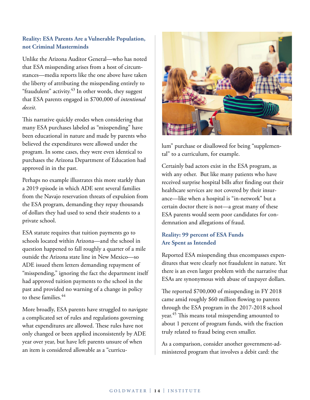#### **Reality: ESA Parents Are a Vulnerable Population, not Criminal Masterminds**

Unlike the Arizona Auditor General—who has noted that ESA misspending arises from a host of circumstances—media reports like the one above have taken the liberty of attributing the misspending entirely to "fraudulent" activity. $43$  In other words, they suggest that ESA parents engaged in \$700,000 of *intentional deceit*.

This narrative quickly erodes when considering that many ESA purchases labeled as "misspending" have been educational in nature and made by parents who believed the expenditures were allowed under the program. In some cases, they were even identical to purchases the Arizona Department of Education had approved in in the past.

Perhaps no example illustrates this more starkly than a 2019 episode in which ADE sent several families from the Navajo reservation threats of expulsion from the ESA program, demanding they repay thousands of dollars they had used to send their students to a private school.

ESA statute requires that tuition payments go to schools located within Arizona—and the school in question happened to fall roughly a quarter of a mile outside the Arizona state line in New Mexico—so ADE issued them letters demanding repayment of "misspending," ignoring the fact the department itself had approved tuition payments to the school in the past and provided no warning of a change in policy to these families.<sup>44</sup>

More broadly, ESA parents have struggled to navigate a complicated set of rules and regulations governing what expenditures are allowed. These rules have not only changed or been applied inconsistently by ADE year over year, but have left parents unsure of when an item is considered allowable as a "curricu-



lum" purchase or disallowed for being "supplemental" to a curriculum, for example.

Certainly bad actors exist in the ESA program, as with any other. But like many patients who have received surprise hospital bills after finding out their healthcare services are not covered by their insurance—like when a hospital is "in-network" but a certain doctor there is not—a great many of these ESA parents would seem poor candidates for condemnation and allegations of fraud.

#### **Reality: 99 percent of ESA Funds Are Spent as Intended**

Reported ESA misspending thus encompasses expenditures that were clearly not fraudulent in nature. Yet there is an even larger problem with the narrative that ESAs are synonymous with abuse of taxpayer dollars.

The reported \$700,000 of misspending in FY 2018 came amid roughly \$60 million flowing to parents through the ESA program in the 2017-2018 school year.<sup>45</sup> This means total misspending amounted to about 1 percent of program funds, with the fraction truly related to fraud being even smaller.

As a comparison, consider another government-administered program that involves a debit card: the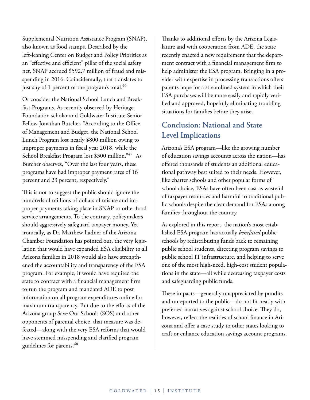Supplemental Nutrition Assistance Program (SNAP), also known as food stamps. Described by the left-leaning Center on Budget and Policy Priorities as an "effective and efficient" pillar of the social safety net, SNAP accrued \$592.7 million of fraud and misspending in 2016. Coincidentally, that translates to just shy of 1 percent of the program's total.<sup>46</sup>

Or consider the National School Lunch and Breakfast Programs. As recently observed by Heritage Foundation scholar and Goldwater Institute Senior Fellow Jonathan Butcher, "According to the Office of Management and Budget, the National School Lunch Program lost nearly [\\$800 million owing to](https://paymentaccuracy.gov/high-priority-programs/)  [improper payments](https://paymentaccuracy.gov/high-priority-programs/) in fiscal year 2018, while the School Breakfast Program lost \$300 million."<sup>47</sup> As Butcher observes, "Over the last four years, these programs have had improper payment rates of 16 percent and 23 percent, respectively."

This is not to suggest the public should ignore the hundreds of millions of dollars of misuse and improper payments taking place in SNAP or other food service arrangements. To the contrary, policymakers should aggressively safeguard taxpayer money. Yet ironically, as Dr. Matthew Ladner of the Arizona Chamber Foundation has pointed out, the very legislation that would have expanded ESA eligibility to all Arizona families in 2018 would also have strengthened the accountability and transparency of the ESA program. For example, it would have required the state to contract with a financial management firm to run the program and mandated ADE to post information on all program expenditures online for maximum transparency. But due to the efforts of the Arizona group Save Our Schools (SOS) and other opponents of parental choice, that measure was defeated—along with the very ESA reforms that would have stemmed misspending and clarified program guidelines for parents.<sup>48</sup>

Thanks to additional efforts by the Arizona Legislature and with cooperation from ADE, the state recently enacted a new requirement that the department contract with a financial management firm to help administer the ESA program. Bringing in a provider with expertise in processing transactions offers parents hope for a streamlined system in which their ESA purchases will be more easily and rapidly verified and approved, hopefully eliminating troubling situations for families before they arise.

## **Conclusion: National and State Level Implications**

Arizona's ESA program—like the growing number of education savings accounts across the nation—has offered thousands of students an additional educational pathway best suited to their needs. However, like charter schools and other popular forms of school choice, ESAs have often been cast as wasteful of taxpayer resources and harmful to traditional public schools despite the clear demand for ESAs among families throughout the country.

As explored in this report, the nation's most established ESA program has actually *benefitted* public schools by redistributing funds back to remaining public school students, directing program savings to public school IT infrastructure, and helping to serve one of the most high-need, high-cost student populations in the state—all while decreasing taxpayer costs and safeguarding public funds.

These impacts—generally unappreciated by pundits and unreported to the public—do not fit neatly with preferred narratives against school choice. They do, however, reflect the realities of school finance in Arizona and offer a case study to other states looking to craft or enhance education savings account programs.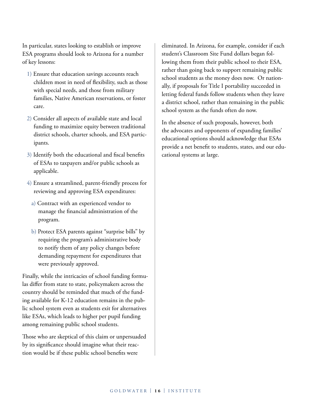In particular, states looking to establish or improve ESA programs should look to Arizona for a number of key lessons:

- 1) Ensure that education savings accounts reach children most in need of flexibility, such as those with special needs, and those from military families, Native American reservations, or foster care.
- 2) Consider all aspects of available state and local funding to maximize equity between traditional district schools, charter schools, and ESA participants.
- 3) Identify both the educational and fiscal benefits of ESAs to taxpayers and/or public schools as applicable.
- 4) Ensure a streamlined, parent-friendly process for reviewing and approving ESA expenditures:
	- a) Contract with an experienced vendor to manage the financial administration of the program.
	- b) Protect ESA parents against "surprise bills" by requiring the program's administrative body to notify them of any policy changes before demanding repayment for expenditures that were previously approved.

Finally, while the intricacies of school funding formulas differ from state to state, policymakers across the country should be reminded that much of the funding available for K-12 education remains in the public school system even as students exit for alternatives like ESAs, which leads to higher per pupil funding among remaining public school students.

Those who are skeptical of this claim or unpersuaded by its significance should imagine what their reaction would be if these public school benefits were

eliminated. In Arizona, for example, consider if each student's Classroom Site Fund dollars began following them from their public school to their ESA, rather than going back to support remaining public school students as the money does now. Or nationally, if proposals for Title I portability succeeded in letting federal funds follow students when they leave a district school, rather than remaining in the public school system as the funds often do now.

In the absence of such proposals, however, both the advocates and opponents of expanding families' educational options should acknowledge that ESAs provide a net benefit to students, states, and our educational systems at large.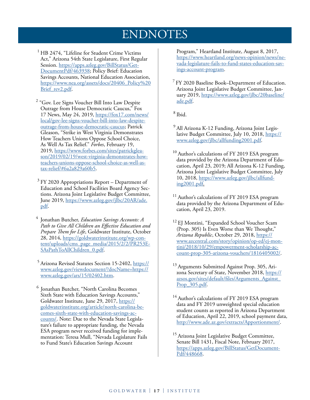## ENDNOTES

- <sup>1</sup> HB 2474, "Lifeline for Student Crime Victims Act," Arizona 54th State Legislature, First Regular Session. [https://apps.azleg.gov/BillStatus/Get-](https://apps.azleg.gov/BillStatus/GetDocumentPdf/463938)[DocumentPdf/463938](https://apps.azleg.gov/BillStatus/GetDocumentPdf/463938); Policy Brief: Education Savings Accounts, National Education Association, [https://www.nea.org/assets/docs/20406\\_Policy%20](https://www.nea.org/assets/docs/20406_Policy Brief_rev2.pdf) [Brief\\_rev2.pdf](https://www.nea.org/assets/docs/20406_Policy Brief_rev2.pdf).
- <sup>2</sup> "Gov. Lee Signs Voucher Bill Into Law Despite Outrage from House Democratic Caucus," Fox 17 News, May 24, 2019, [https://fox17.com/news/](https://fox17.com/news/local/gov-lee-signs-voucher-bill-into-law-despite-outrage-from-house-democratic-caucus) [local/gov-lee-signs-voucher-bill-into-law-despite](https://fox17.com/news/local/gov-lee-signs-voucher-bill-into-law-despite-outrage-from-house-democratic-caucus)[outrage-from-house-democratic-caucus](https://fox17.com/news/local/gov-lee-signs-voucher-bill-into-law-despite-outrage-from-house-democratic-caucus); Patrick Gleason, "Strike in West Virginia Demonstrates How Teachers Unions Oppose School Choice, As Well As Tax Relief." *Forbes*, February 19, 2019, [https://www.forbes.com/sites/patrickglea](https://www.forbes.com/sites/patrickgleason/2019/02/19/west-virginia-demonstrates-how-teachers-unions-oppose-school-choice-as-well-as-tax-relief/#6a2a829a60b5)[son/2019/02/19/west-virginia-demonstrates-how](https://www.forbes.com/sites/patrickgleason/2019/02/19/west-virginia-demonstrates-how-teachers-unions-oppose-school-choice-as-well-as-tax-relief/#6a2a829a60b5)[teachers-unions-oppose-school-choice-as-well-as](https://www.forbes.com/sites/patrickgleason/2019/02/19/west-virginia-demonstrates-how-teachers-unions-oppose-school-choice-as-well-as-tax-relief/#6a2a829a60b5)[tax-relief/#6a2a829a60b5](https://www.forbes.com/sites/patrickgleason/2019/02/19/west-virginia-demonstrates-how-teachers-unions-oppose-school-choice-as-well-as-tax-relief/#6a2a829a60b5).
- $3$  FY 2020 Appropriations Report Department of Education and School Facilities Board Agency Sections. Arizona Joint Legislative Budget Committee, June 2019, [https://www.azleg.gov/jlbc/20AR/ade.](https://www.azleg.gov/jlbc/20AR/ade.pdf) [pdf](https://www.azleg.gov/jlbc/20AR/ade.pdf).
- 4 Jonathan Butcher, *Education Savings Accounts: A Path to Give All Children an Effective Education and Prepare Them for Life*, Goldwater Institute, October 28, 2014, [https://goldwaterinstitute.org/wp-con](https://goldwaterinstitute.org/wp-content/uploads/cms_page_media/2015/2/2/PR253ESAsPathToAllChildren_0.pdf)[tent/uploads/cms\\_page\\_media/2015/2/2/PR253E-](https://goldwaterinstitute.org/wp-content/uploads/cms_page_media/2015/2/2/PR253ESAsPathToAllChildren_0.pdf)[SAsPathToAllChildren\\_0.pdf](https://goldwaterinstitute.org/wp-content/uploads/cms_page_media/2015/2/2/PR253ESAsPathToAllChildren_0.pdf).
- <sup>5</sup> Arizona Revised Statutes Section 15-2402, [https://](https://www.azleg.gov/viewdocument/?docName=https://www.azleg.gov/ars/15/02402.htm) [www.azleg.gov/viewdocument/?docName=https://](https://www.azleg.gov/viewdocument/?docName=https://www.azleg.gov/ars/15/02402.htm) [www.azleg.gov/ars/15/02402.htm](https://www.azleg.gov/viewdocument/?docName=https://www.azleg.gov/ars/15/02402.htm).
- Jonathan Butcher, "North Carolina Becomes Sixth State with Education Savings Accounts," Goldwater Institute, June 29, 2017, [https://](https://goldwaterinstitute.org/article/north-carolina-becomes-sixth-state-with-education-savings-accounts/) [goldwaterinstitute.org/article/north-carolina-be](https://goldwaterinstitute.org/article/north-carolina-becomes-sixth-state-with-education-savings-accounts/)[comes-sixth-state-with-education-savings-ac](https://goldwaterinstitute.org/article/north-carolina-becomes-sixth-state-with-education-savings-accounts/)[counts/.](https://goldwaterinstitute.org/article/north-carolina-becomes-sixth-state-with-education-savings-accounts/) Note: Due to the Nevada State Legislature's failure to appropriate funding, the Nevada ESA program never received funding for implementation: Teresa Mull, "Nevada Legislature Fails to Fund State's Education Savings Account

Program," Heartland Institute, August 8, 2017, [https://www.heartland.org/news-opinion/news/ne](https://www.heartland.org/news-opinion/news/nevada-legislature-fails-to-fund-states-education-savings-account-program)[vada-legislature-fails-to-fund-states-education-sav](https://www.heartland.org/news-opinion/news/nevada-legislature-fails-to-fund-states-education-savings-account-program)[ings-account-program](https://www.heartland.org/news-opinion/news/nevada-legislature-fails-to-fund-states-education-savings-account-program).

 $7$  FY 2020 Baseline Book–Department of Education. Arizona Joint Legislative Budget Committee, January 2019, [https://www.azleg.gov/jlbc/20baseline/](https://www.azleg.gov/jlbc/20baseline/ade.pdf) [ade.pdf](https://www.azleg.gov/jlbc/20baseline/ade.pdf).

8 Ibid.

- <sup>9</sup> All Arizona K-12 Funding, Arizona Joint Legislative Budget Committee, July 10, 2018, [https://](https://www.azleg.gov/jlbc/allfunding2001.pdf) [www.azleg.gov/jlbc/allfunding2001.pdf.](https://www.azleg.gov/jlbc/allfunding2001.pdf)
- <sup>10</sup> Author's calculations of FY 2019 ESA program data provided by the Arizona Department of Education, April 23, 2019; All Arizona K-12 Funding, Arizona Joint Legislative Budget Committee, July 10, 2018, [https://www.azleg.gov/jlbc/allfund](https://www.azleg.gov/jlbc/allfunding2001.pdf)[ing2001.pdf](https://www.azleg.gov/jlbc/allfunding2001.pdf).
- <sup>11</sup> Author's calculations of FY 2019 ESA program data provided by the Arizona Department of Education, April 23, 2019.
- <sup>12</sup> EJ Montini, "Expanded School Voucher Scam (Prop. 305) Is Even Worse than We Thought," *Arizona Republic*, October 29, 2018, [https://](https://www.azcentral.com/story/opinion/op-ed/ej-montini/2018/10/29/empowerment-scholarship-account-prop-305-arizona-vouchers/1816405002/) [www.azcentral.com/story/opinion/op-ed/ej-mon](https://www.azcentral.com/story/opinion/op-ed/ej-montini/2018/10/29/empowerment-scholarship-account-prop-305-arizona-vouchers/1816405002/)[tini/2018/10/29/empowerment-scholarship-ac](https://www.azcentral.com/story/opinion/op-ed/ej-montini/2018/10/29/empowerment-scholarship-account-prop-305-arizona-vouchers/1816405002/)[count-prop-305-arizona-vouchers/1816405002/](https://www.azcentral.com/story/opinion/op-ed/ej-montini/2018/10/29/empowerment-scholarship-account-prop-305-arizona-vouchers/1816405002/).
- <sup>13</sup> Arguments Submitted Against Prop. 305, Arizona Secretary of State, November 2018, [https://](https://azsos.gov/sites/default/files/Arguments_Against_Prop_305.pdf) [azsos.gov/sites/default/files/Arguments\\_Against\\_](https://azsos.gov/sites/default/files/Arguments_Against_Prop_305.pdf) [Prop\\_305.pdf.](https://azsos.gov/sites/default/files/Arguments_Against_Prop_305.pdf)
- $14$  Author's calculations of FY 2019 ESA program data and FY 2019 unweighted special education student counts as reported in Arizona Department of Education, April 22, 2019, school payment data, [http://www.ade.az.gov/extracts/Apportionment/.](http://www.ade.az.gov/extracts/Apportionment/)
- <sup>15</sup> Arizona Joint Legislative Budget Committee, Senate Bill 1431, Fiscal Note, February 2017, [https://apps.azleg.gov/BillStatus/GetDocument-](https://apps.azleg.gov/BillStatus/GetDocumentPdf/448668)[Pdf/448668](https://apps.azleg.gov/BillStatus/GetDocumentPdf/448668).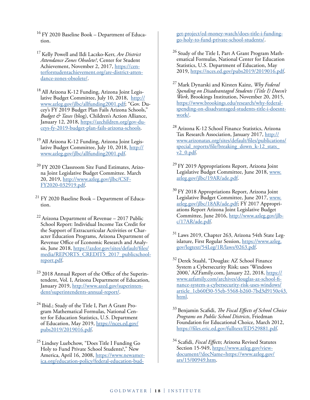<sup>16</sup> FY 2020 Baseline Book – Department of Education.

- 17 Kelly Powell and Ildi Laczko-Kerr, *Are District Attendance Zones Obsolete?*, Center for Student Achievement, November 2, 2017, [https://cen](https://centerforstudentachievement.org/are-district-attendance-zones-obsolete/)[terforstudentachievement.org/are-district-atten](https://centerforstudentachievement.org/are-district-attendance-zones-obsolete/)[dance-zones-obsolete/.](https://centerforstudentachievement.org/are-district-attendance-zones-obsolete/)
- <sup>18</sup> All Arizona K-12 Funding, Arizona Joint Legislative Budget Committee, July 10, 2018, [http://](http://www.azleg.gov/jlbc/allfunding2001.pdf) [www.azleg.gov/jlbc/allfunding2001.pdf](http://www.azleg.gov/jlbc/allfunding2001.pdf); "Gov. Ducey's FY 2019 Budget Plan Fails Arizona Schools," *Budget & Taxes* (blog), Children's Action Alliance, January 12, 2018, [https://azchildren.org/gov-du](https://azchildren.org/gov-duceys-fy-2019-budget-plan-fails-arizona-schools)[ceys-fy-2019-budget-plan-fails-arizona-schools.](https://azchildren.org/gov-duceys-fy-2019-budget-plan-fails-arizona-schools)
- <sup>19</sup> All Arizona K-12 Funding, Arizona Joint Legislative Budget Committee, July 10, 2018, [http://](http://www.azleg.gov/jlbc/allfunding2001.pdf) [www.azleg.gov/jlbc/allfunding2001.pdf.](http://www.azleg.gov/jlbc/allfunding2001.pdf)
- <sup>20</sup> FY 2020 Classroom Site Fund Estimates, Arizona Joint Legislative Budget Committee. March 20, 2019, [http://www.azleg.gov/jlbc/CSF-](http://www.azleg.gov/jlbc/CSF-FY2020-032919.pdf)[FY2020-032919.pdf.](http://www.azleg.gov/jlbc/CSF-FY2020-032919.pdf)
- 21 FY 2020 Baseline Book Department of Education.
- 22 Arizona Department of Revenue 2017 Public School Report: Individual Income Tax Credit for the Support of Extracurricular Activities or Character Education Programs, Arizona Department of Revenue Office of Economic Research and Analysis, June 2018, [https://azdor.gov/sites/default/files/](https://azdor.gov/sites/default/files/media/REPORTS_CREDITS_2017_publicschoolreport.pdf) media/REPORTS CREDITS 2017 publicschool[report.pdf.](https://azdor.gov/sites/default/files/media/REPORTS_CREDITS_2017_publicschoolreport.pdf)
- $23$  2018 Annual Report of the Office of the Superintendent, Vol. I, Arizona Department of Education, January 2019, [http://www.azed.gov/superinten](http://www.azed.gov/superintendent/superintendents-annual-report/)[dent/superintendents-annual-report/.](http://www.azed.gov/superintendent/superintendents-annual-report/)
- <sup>24</sup> Ibid.; Study of the Title I, Part A Grant Program Mathematical Formulas, National Center for Education Statistics, U.S. Department of Education, May 2019, [https://nces.ed.gov/](https://nces.ed.gov/pubs2019/2019016.pdf) [pubs2019/2019016.pdf](https://nces.ed.gov/pubs2019/2019016.pdf).
- 25 Lindsey Luebchow, "Does Title I Funding Go Holy to Fund Private School Students?," New America, April 16, 2008, [https://www.newamer](https://www.newamerica.org/education-policy/federal-education-budget-project/ed-money-watch/does-title-i-funding-go-holy-to-fund-private-school-students/)[ica.org/education-policy/federal-education-bud-](https://www.newamerica.org/education-policy/federal-education-budget-project/ed-money-watch/does-title-i-funding-go-holy-to-fund-private-school-students/)

[get-project/ed-money-watch/does-title-i-funding](https://www.newamerica.org/education-policy/federal-education-budget-project/ed-money-watch/does-title-i-funding-go-holy-to-fund-private-school-students/)[go-holy-to-fund-private-school-students/](https://www.newamerica.org/education-policy/federal-education-budget-project/ed-money-watch/does-title-i-funding-go-holy-to-fund-private-school-students/).

- <sup>26</sup> Study of the Title I, Part A Grant Program Mathematical Formulas, National Center for Education Statistics, U.S. Department of Education, May 2019,<https://nces.ed.gov/pubs2019/2019016.pdf>.
- 27 Mark Dynarski and Kirsten Kainz, *Why Federal Spending on Disadvantaged Students (Title I) Doesn't Work*, Brookings Institution, November 20, 2015, [https://www.brookings.edu/research/why-federal](https://www.brookings.edu/research/why-federal-spending-on-disadvantaged-students-title-i-doesnt-work/)[spending-on-disadvantaged-students-title-i-doesnt](https://www.brookings.edu/research/why-federal-spending-on-disadvantaged-students-title-i-doesnt-work/)[work/.](https://www.brookings.edu/research/why-federal-spending-on-disadvantaged-students-title-i-doesnt-work/)
- 28 Arizona K-12 School Finance Statistics, Arizona Tax Research Association, January 2017, [http://](http://www.arizonatax.org/sites/default/files/publications/special_reports/file/breaking_down_k-12_stats_v2_0.pdf) [www.arizonatax.org/sites/default/files/publications/](http://www.arizonatax.org/sites/default/files/publications/special_reports/file/breaking_down_k-12_stats_v2_0.pdf) special reports/file/breaking down  $k-12$  stats [v2\\_0.pdf.](http://www.arizonatax.org/sites/default/files/publications/special_reports/file/breaking_down_k-12_stats_v2_0.pdf)
- 29 FY 2019 Appropriations Report, Arizona Joint Legislative Budget Committee, June 2018, [www.](http://www.azleg.gov/jlbc/19AR/ade.pdf) [azleg.gov/jlbc/19AR/ade.pdf](http://www.azleg.gov/jlbc/19AR/ade.pdf).
- <sup>30</sup> FY 2018 Appropriations Report, Arizona Joint Legislative Budget Committee, June 2017, [www.](http://www.azleg.gov/jlbc/18AR/ade.pdf) [azleg.gov/jlbc/18AR/ade.pdf;](http://www.azleg.gov/jlbc/18AR/ade.pdf) FY 2017 Appropriations Report Arizona Joint Legislative Budget Committee, June 2016, [http://www.azleg.gov/jlb](http://www.azleg.gov/jlbc/17AR/ade.pdf)[c/17AR/ade.pdf.](http://www.azleg.gov/jlbc/17AR/ade.pdf)
- 31 Laws 2019, Chapter 263, Arizona 54th State Legislature, First Regular Session, [https://www.azleg.](https://www.azleg.gov/legtext/54Leg/1R/laws/0263.pdf) [gov/legtext/54Leg/1R/laws/0263.pdf](https://www.azleg.gov/legtext/54Leg/1R/laws/0263.pdf).
- 32 Derek Staahl, "Douglas: AZ School Finance System a Cybersecurity Risk; uses 'Windows 2000,' AZFamily.com, January 22, 2018, [https://](https://www.azfamily.com/archives/douglas-az-school-finance-system-a-cybersecurity-risk-uses-windows/article_1cb60f30-55eb-5568-b260-7bd3d9150e43.html) [www.azfamily.com/archives/douglas-az-school-fi](https://www.azfamily.com/archives/douglas-az-school-finance-system-a-cybersecurity-risk-uses-windows/article_1cb60f30-55eb-5568-b260-7bd3d9150e43.html)[nance-system-a-cybersecurity-risk-uses-windows/](https://www.azfamily.com/archives/douglas-az-school-finance-system-a-cybersecurity-risk-uses-windows/article_1cb60f30-55eb-5568-b260-7bd3d9150e43.html) [article\\_1cb60f30-55eb-5568-b260-7bd3d9150e43.](https://www.azfamily.com/archives/douglas-az-school-finance-system-a-cybersecurity-risk-uses-windows/article_1cb60f30-55eb-5568-b260-7bd3d9150e43.html) [html](https://www.azfamily.com/archives/douglas-az-school-finance-system-a-cybersecurity-risk-uses-windows/article_1cb60f30-55eb-5568-b260-7bd3d9150e43.html).
- 33 Benjamin Scafidi, *The Fiscal Effects of School Choice Programs on Public School Districts*, Friedman Foundation for Educational Choice, March 2012, <https://files.eric.ed.gov/fulltext/ED529881.pdf>.
- 34 Scafidi, *Fiscal Effects*; Arizona Revised Statutes Section 15-949, [https://www.azleg.gov/view](https://www.azleg.gov/viewdocument/?docName=https://www.azleg.gov/ars/15/00949.htm)[document/?docName=https://www.azleg.gov/](https://www.azleg.gov/viewdocument/?docName=https://www.azleg.gov/ars/15/00949.htm) [ars/15/00949.htm.](https://www.azleg.gov/viewdocument/?docName=https://www.azleg.gov/ars/15/00949.htm)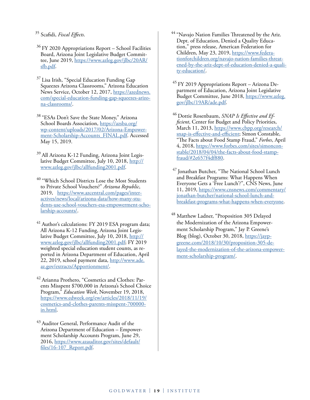35 Scafidi, *Fiscal Effects*.

- $36$  FY 2020 Appropriations Report School Facilities Board, Arizona Joint Legislative Budget Committee, June 2019, [https://www.azleg.gov/jlbc/20AR/](https://www.azleg.gov/jlbc/20AR/sfb.pdf) [sfb.pdf](https://www.azleg.gov/jlbc/20AR/sfb.pdf).
- <sup>37</sup> Lisa Irish, "Special Education Funding Gap Squeezes Arizona Classrooms," Arizona Education News Service, October 12, 2017, [https://azednews.](https://azednews.com/special-education-funding-gap-squeezes-arizona-classrooms/) [com/special-education-funding-gap-squeezes-arizo](https://azednews.com/special-education-funding-gap-squeezes-arizona-classrooms/)[na-classrooms/](https://azednews.com/special-education-funding-gap-squeezes-arizona-classrooms/).
- <sup>38</sup> "ESAs Don't Save the State Money," Arizona School Boards Association, [https://azsba.org/](https://azsba.org/wp-content/uploads/2017/02/Arizona-Empowerment-Scholarship-Accounts_FINAL.pdf) [wp-content/uploads/2017/02/Arizona-Empower](https://azsba.org/wp-content/uploads/2017/02/Arizona-Empowerment-Scholarship-Accounts_FINAL.pdf)[ment-Scholarship-Accounts\\_FINAL.pdf](https://azsba.org/wp-content/uploads/2017/02/Arizona-Empowerment-Scholarship-Accounts_FINAL.pdf). Accessed May 15, 2019.
- 39 All Arizona K-12 Funding, Arizona Joint Legislative Budget Committee, July 10, 2018, [http://](http://www.azleg.gov/jlbc/allfunding2001.pdf) [www.azleg.gov/jlbc/allfunding2001.pdf.](http://www.azleg.gov/jlbc/allfunding2001.pdf)
- <sup>40</sup> "Which School Districts Lose the Most Students to Private School Vouchers?" *Arizona Republic*, 2019, [https://www.azcentral.com/pages/inter](https://www.azcentral.com/pages/interactives/news/local/arizona-data/how-many-students-use-school-vouchers-esa-empowerment-scholarship-accounts/)[actives/news/local/arizona-data/how-many-stu](https://www.azcentral.com/pages/interactives/news/local/arizona-data/how-many-students-use-school-vouchers-esa-empowerment-scholarship-accounts/)[dents-use-school-vouchers-esa-empowerment-scho](https://www.azcentral.com/pages/interactives/news/local/arizona-data/how-many-students-use-school-vouchers-esa-empowerment-scholarship-accounts/)[larship-accounts/](https://www.azcentral.com/pages/interactives/news/local/arizona-data/how-many-students-use-school-vouchers-esa-empowerment-scholarship-accounts/).
- 41 Author's calculations: FY 2019 ESA program data; All Arizona K-12 Funding, Arizona Joint Legislative Budget Committee, July 10, 2018, [http://](http://www.azleg.gov/jlbc/allfunding2001.pdf) [www.azleg.gov/jlbc/allfunding2001.pdf](http://www.azleg.gov/jlbc/allfunding2001.pdf); FY 2019 weighted special education student counts, as reported in Arizona Department of Education, April 22, 2019, school payment data, [http://www.ade.](http://www.ade.az.gov/extracts/Apportionment/) [az.gov/extracts/Apportionment/](http://www.ade.az.gov/extracts/Apportionment/).
- 42 Arianna Prothero, "Cosmetics and Clothes: Parents Misspent \$700,000 in Arizona's School Choice Program," *Education Week*, November 19, 2018, [https://www.edweek.org/ew/articles/2018/11/19/](https://www.edweek.org/ew/articles/2018/11/19/cosmetics-and-clothes-parents-misspent-700000-in.html) [cosmetics-and-clothes-parents-misspent-700000](https://www.edweek.org/ew/articles/2018/11/19/cosmetics-and-clothes-parents-misspent-700000-in.html) [in.html.](https://www.edweek.org/ew/articles/2018/11/19/cosmetics-and-clothes-parents-misspent-700000-in.html)
- 43 Auditor General, Performance Audit of the Arizona Department of Education – Empowerment Scholarship Accounts Program, June 29, 2016, [https://www.azauditor.gov/sites/default/](https://www.azauditor.gov/sites/default/files/16-107_Report.pdf) [files/16-107\\_Report.pdf.](https://www.azauditor.gov/sites/default/files/16-107_Report.pdf)
- <sup>44</sup> "Navajo Nation Families Threatened by the Ariz. Dept. of Education, Denied a Quality Education," press release, American Federation for Children, May 23, 2019, [https://www.federa](https://www.federationforchildren.org/navajo-nation-families-threatened-by-the-ariz-dept-of-education-denied-a-quality-education/)[tionforchildren.org/navajo-nation-families-threat](https://www.federationforchildren.org/navajo-nation-families-threatened-by-the-ariz-dept-of-education-denied-a-quality-education/)[ened-by-the-ariz-dept-of-education-denied-a-quali](https://www.federationforchildren.org/navajo-nation-families-threatened-by-the-ariz-dept-of-education-denied-a-quality-education/)[ty-education/.](https://www.federationforchildren.org/navajo-nation-families-threatened-by-the-ariz-dept-of-education-denied-a-quality-education/)
- $45$  FY 2019 Appropriations Report Arizona Department of Education, Arizona Joint Legislative Budget Committee, June 2018, [https://www.azleg.](https://www.azleg.gov/jlbc/19AR/ade.pdf) [gov/jlbc/19AR/ade.pdf](https://www.azleg.gov/jlbc/19AR/ade.pdf).
- 46 Dottie Rosenbaum, *SNAP Is Effective and Efficient*, Center for Budget and Policy Priorities, March 11, 2013, [https://www.cbpp.org/research/](https://www.cbpp.org/research/snap-is-effective-and-efficient) [snap-is-effective-and-efficient;](https://www.cbpp.org/research/snap-is-effective-and-efficient) Simon Constable, "The Facts about Food Stamp Fraud," *Forbes*, April 4, 2018, [https://www.forbes.com/sites/simoncon](https://www.forbes.com/sites/simonconstable/2018/04/04/the-facts-about-food-stamp-fraud/#2e657f4df880)[stable/2018/04/04/the-facts-about-food-stamp](https://www.forbes.com/sites/simonconstable/2018/04/04/the-facts-about-food-stamp-fraud/#2e657f4df880)[fraud/#2e657f4df880.](https://www.forbes.com/sites/simonconstable/2018/04/04/the-facts-about-food-stamp-fraud/#2e657f4df880)
- <sup>47</sup> Jonathan Butcher, "The National School Lunch and Breakfast Programs: What Happens When Everyone Gets a 'Free Lunch'?", CNS News, June 11, 2019, [https://www.cnsnews.com/commentary/](https://www.cnsnews.com/commentary/jonathan-butcher/national-school-lunch-and-breakfast-programs-what-happens-when-everyone) [jonathan-butcher/national-school-lunch-and](https://www.cnsnews.com/commentary/jonathan-butcher/national-school-lunch-and-breakfast-programs-what-happens-when-everyone)[breakfast-programs-what-happens-when-everyone](https://www.cnsnews.com/commentary/jonathan-butcher/national-school-lunch-and-breakfast-programs-what-happens-when-everyone).
- Matthew Ladner, "Proposition 305 Delayed the Modernization of the Arizona Empowerment Scholarship Program," Jay P. Greene's Blog (blog), October 30, 2018, [https://jayp](https://jaypgreene.com/2018/10/30/proposition-305-delayed-the-modernization-of-the-arizona-empowerment-scholarship-program/)[greene.com/2018/10/30/proposition-305-de](https://jaypgreene.com/2018/10/30/proposition-305-delayed-the-modernization-of-the-arizona-empowerment-scholarship-program/)[layed-the-modernization-of-the-arizona-empower](https://jaypgreene.com/2018/10/30/proposition-305-delayed-the-modernization-of-the-arizona-empowerment-scholarship-program/)[ment-scholarship-program/](https://jaypgreene.com/2018/10/30/proposition-305-delayed-the-modernization-of-the-arizona-empowerment-scholarship-program/).